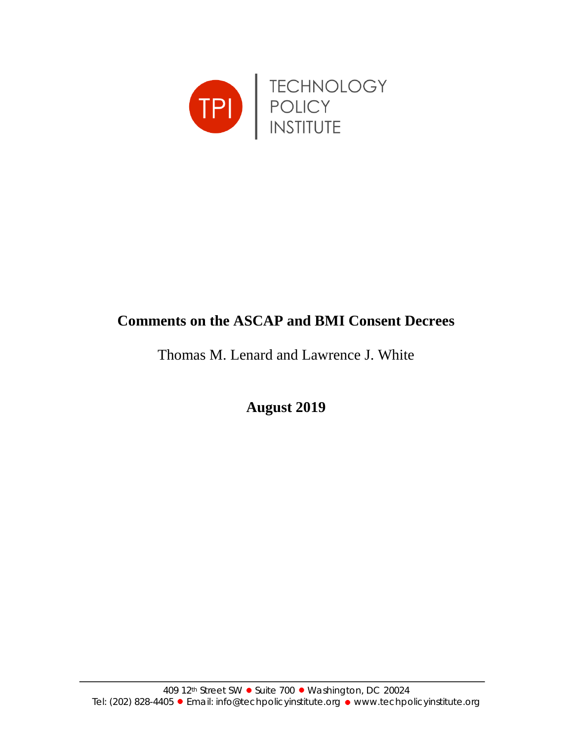

# **Comments on the ASCAP and BMI Consent Decrees**

Thomas M. Lenard and Lawrence J. White

**August 2019**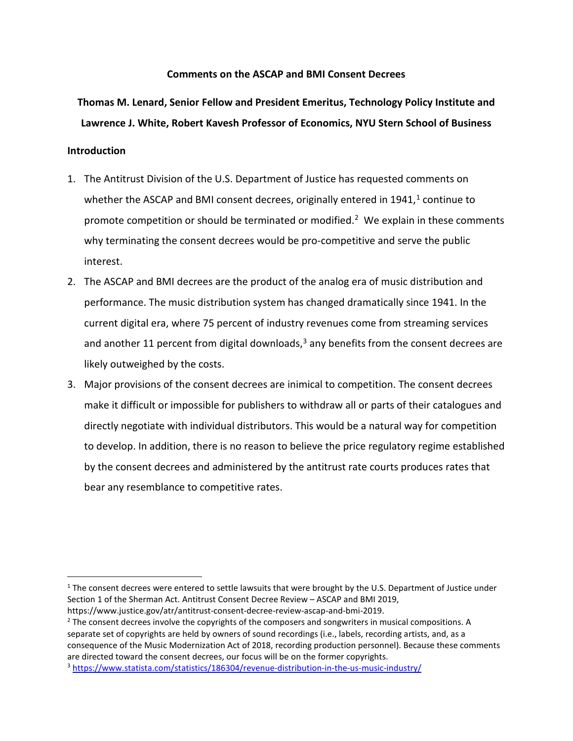# **Comments on the ASCAP and BMI Consent Decrees**

# **Thomas M. Lenard, Senior Fellow and President Emeritus, Technology Policy Institute and Lawrence J. White, Robert Kavesh Professor of Economics, NYU Stern School of Business**

## **Introduction**

- 1. The Antitrust Division of the U.S. Department of Justice has requested comments on whether the ASCAP and BMI consent decrees, originally entered in  $1941<sup>1</sup>$  $1941<sup>1</sup>$  continue to promote competition or should be terminated or modified.<sup>[2](#page-1-1)</sup> We explain in these comments why terminating the consent decrees would be pro-competitive and serve the public interest.
- 2. The ASCAP and BMI decrees are the product of the analog era of music distribution and performance. The music distribution system has changed dramatically since 1941. In the current digital era, where 75 percent of industry revenues come from streaming services and another 11 percent from digital downloads, $3$  any benefits from the consent decrees are likely outweighed by the costs.
- 3. Major provisions of the consent decrees are inimical to competition. The consent decrees make it difficult or impossible for publishers to withdraw all or parts of their catalogues and directly negotiate with individual distributors. This would be a natural way for competition to develop. In addition, there is no reason to believe the price regulatory regime established by the consent decrees and administered by the antitrust rate courts produces rates that bear any resemblance to competitive rates.

<span id="page-1-0"></span> $1$  The consent decrees were entered to settle lawsuits that were brought by the U.S. Department of Justice under Section 1 of the Sherman Act. Antitrust Consent Decree Review – ASCAP and BMI 2019, https://www.justice.gov/atr/antitrust-consent-decree-review-ascap-and-bmi-2019.

<span id="page-1-1"></span><sup>&</sup>lt;sup>2</sup> The consent decrees involve the copyrights of the composers and songwriters in musical compositions. A separate set of copyrights are held by owners of sound recordings (i.e., labels, recording artists, and, as a consequence of the Music Modernization Act of 2018, recording production personnel). Because these comments are directed toward the consent decrees, our focus will be on the former copyrights.

<span id="page-1-2"></span><sup>3</sup> <https://www.statista.com/statistics/186304/revenue-distribution-in-the-us-music-industry/>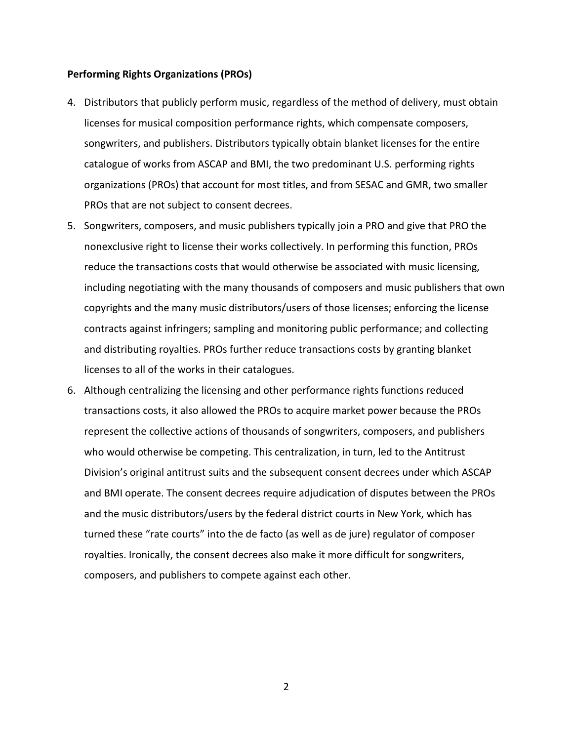#### **Performing Rights Organizations (PROs)**

- 4. Distributors that publicly perform music, regardless of the method of delivery, must obtain licenses for musical composition performance rights, which compensate composers, songwriters, and publishers. Distributors typically obtain blanket licenses for the entire catalogue of works from ASCAP and BMI, the two predominant U.S. performing rights organizations (PROs) that account for most titles, and from SESAC and GMR, two smaller PROs that are not subject to consent decrees.
- 5. Songwriters, composers, and music publishers typically join a PRO and give that PRO the nonexclusive right to license their works collectively. In performing this function, PROs reduce the transactions costs that would otherwise be associated with music licensing, including negotiating with the many thousands of composers and music publishers that own copyrights and the many music distributors/users of those licenses; enforcing the license contracts against infringers; sampling and monitoring public performance; and collecting and distributing royalties. PROs further reduce transactions costs by granting blanket licenses to all of the works in their catalogues.
- 6. Although centralizing the licensing and other performance rights functions reduced transactions costs, it also allowed the PROs to acquire market power because the PROs represent the collective actions of thousands of songwriters, composers, and publishers who would otherwise be competing. This centralization, in turn, led to the Antitrust Division's original antitrust suits and the subsequent consent decrees under which ASCAP and BMI operate. The consent decrees require adjudication of disputes between the PROs and the music distributors/users by the federal district courts in New York, which has turned these "rate courts" into the de facto (as well as de jure) regulator of composer royalties. Ironically, the consent decrees also make it more difficult for songwriters, composers, and publishers to compete against each other.

2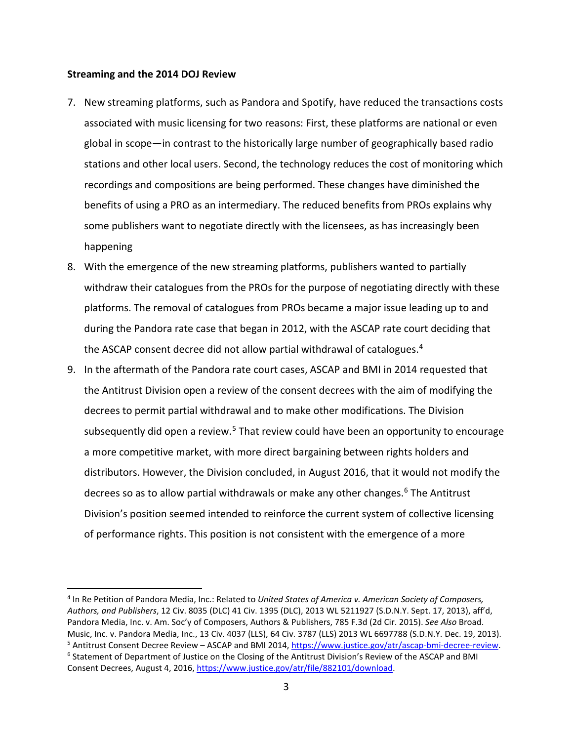#### **Streaming and the 2014 DOJ Review**

- 7. New streaming platforms, such as Pandora and Spotify, have reduced the transactions costs associated with music licensing for two reasons: First, these platforms are national or even global in scope—in contrast to the historically large number of geographically based radio stations and other local users. Second, the technology reduces the cost of monitoring which recordings and compositions are being performed. These changes have diminished the benefits of using a PRO as an intermediary. The reduced benefits from PROs explains why some publishers want to negotiate directly with the licensees, as has increasingly been happening
- 8. With the emergence of the new streaming platforms, publishers wanted to partially withdraw their catalogues from the PROs for the purpose of negotiating directly with these platforms. The removal of catalogues from PROs became a major issue leading up to and during the Pandora rate case that began in 2012, with the ASCAP rate court deciding that the ASCAP consent decree did not allow partial withdrawal of catalogues.<sup>[4](#page-3-0)</sup>
- 9. In the aftermath of the Pandora rate court cases, ASCAP and BMI in 2014 requested that the Antitrust Division open a review of the consent decrees with the aim of modifying the decrees to permit partial withdrawal and to make other modifications. The Division subsequently did open a review.<sup>[5](#page-3-1)</sup> That review could have been an opportunity to encourage a more competitive market, with more direct bargaining between rights holders and distributors. However, the Division concluded, in August 2016, that it would not modify the decrees so as to allow partial withdrawals or make any other changes. [6](#page-3-2) The Antitrust Division's position seemed intended to reinforce the current system of collective licensing of performance rights. This position is not consistent with the emergence of a more

<span id="page-3-2"></span><span id="page-3-1"></span><span id="page-3-0"></span><sup>4</sup> In Re Petition of Pandora Media, Inc.: Related to *United States of America v. American Society of Composers, Authors, and Publishers*, 12 Civ. 8035 (DLC) 41 Civ. 1395 (DLC), 2013 WL 5211927 (S.D.N.Y. Sept. 17, 2013), aff'd, Pandora Media, Inc. v. Am. Soc'y of Composers, Authors & Publishers, 785 F.3d (2d Cir. 2015). *See Also* Broad. Music, Inc. v. Pandora Media, Inc., 13 Civ. 4037 (LLS), 64 Civ. 3787 (LLS) 2013 WL 6697788 (S.D.N.Y. Dec. 19, 2013). <sup>5</sup> Antitrust Consent Decree Review – ASCAP and BMI 2014[, https://www.justice.gov/atr/ascap-bmi-decree-review.](https://www.justice.gov/atr/ascap-bmi-decree-review) <sup>6</sup> Statement of Department of Justice on the Closing of the Antitrust Division's Review of the ASCAP and BMI Consent Decrees, August 4, 2016[, https://www.justice.gov/atr/file/882101/download.](https://www.justice.gov/atr/file/882101/download)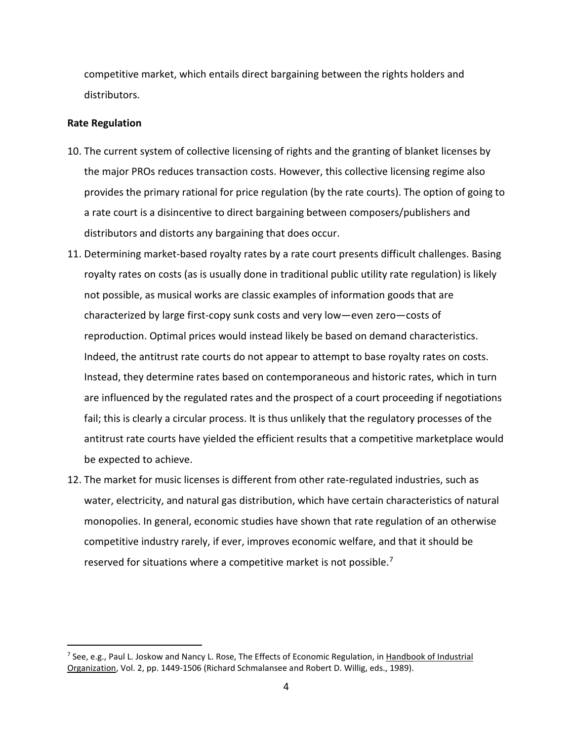competitive market, which entails direct bargaining between the rights holders and distributors.

## **Rate Regulation**

- 10. The current system of collective licensing of rights and the granting of blanket licenses by the major PROs reduces transaction costs. However, this collective licensing regime also provides the primary rational for price regulation (by the rate courts). The option of going to a rate court is a disincentive to direct bargaining between composers/publishers and distributors and distorts any bargaining that does occur.
- 11. Determining market-based royalty rates by a rate court presents difficult challenges. Basing royalty rates on costs (as is usually done in traditional public utility rate regulation) is likely not possible, as musical works are classic examples of information goods that are characterized by large first-copy sunk costs and very low—even zero—costs of reproduction. Optimal prices would instead likely be based on demand characteristics. Indeed, the antitrust rate courts do not appear to attempt to base royalty rates on costs. Instead, they determine rates based on contemporaneous and historic rates, which in turn are influenced by the regulated rates and the prospect of a court proceeding if negotiations fail; this is clearly a circular process. It is thus unlikely that the regulatory processes of the antitrust rate courts have yielded the efficient results that a competitive marketplace would be expected to achieve.
- 12. The market for music licenses is different from other rate-regulated industries, such as water, electricity, and natural gas distribution, which have certain characteristics of natural monopolies. In general, economic studies have shown that rate regulation of an otherwise competitive industry rarely, if ever, improves economic welfare, and that it should be reserved for situations where a competitive market is not possible.<sup>[7](#page-4-0)</sup>

<span id="page-4-0"></span> $^7$  See, e.g., Paul L. Joskow and Nancy L. Rose, The Effects of Economic Regulation, in Handbook of Industrial Organization, Vol. 2, pp. 1449-1506 (Richard Schmalansee and Robert D. Willig, eds., 1989).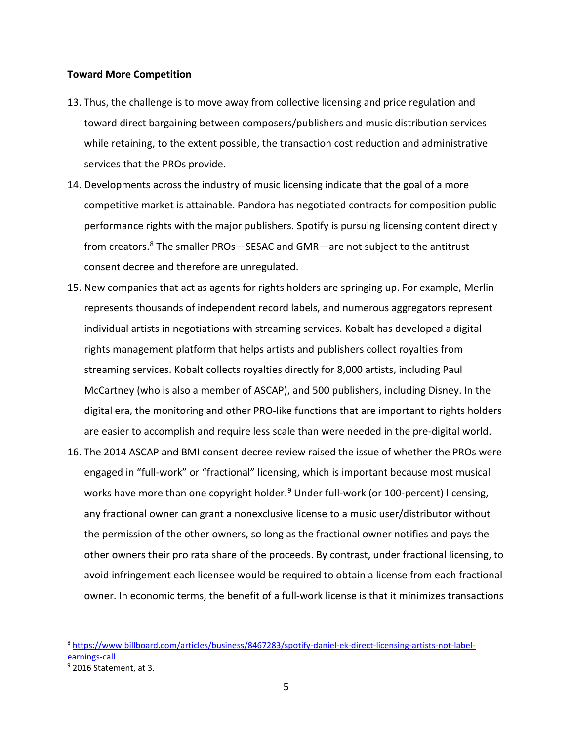#### **Toward More Competition**

- 13. Thus, the challenge is to move away from collective licensing and price regulation and toward direct bargaining between composers/publishers and music distribution services while retaining, to the extent possible, the transaction cost reduction and administrative services that the PROs provide.
- 14. Developments across the industry of music licensing indicate that the goal of a more competitive market is attainable. Pandora has negotiated contracts for composition public performance rights with the major publishers. Spotify is pursuing licensing content directly from creators. [8](#page-5-0) The smaller PROs—SESAC and GMR—are not subject to the antitrust consent decree and therefore are unregulated.
- 15. New companies that act as agents for rights holders are springing up. For example, Merlin represents thousands of independent record labels, and numerous aggregators represent individual artists in negotiations with streaming services. Kobalt has developed a digital rights management platform that helps artists and publishers collect royalties from streaming services. Kobalt collects royalties directly for 8,000 artists, including Paul McCartney (who is also a member of ASCAP), and 500 publishers, including Disney. In the digital era, the monitoring and other PRO-like functions that are important to rights holders are easier to accomplish and require less scale than were needed in the pre-digital world.
- 16. The 2014 ASCAP and BMI consent decree review raised the issue of whether the PROs were engaged in "full-work" or "fractional" licensing, which is important because most musical works have more than one copyright holder.<sup>9</sup> Under full-work (or 100-percent) licensing, any fractional owner can grant a nonexclusive license to a music user/distributor without the permission of the other owners, so long as the fractional owner notifies and pays the other owners their pro rata share of the proceeds. By contrast, under fractional licensing, to avoid infringement each licensee would be required to obtain a license from each fractional owner. In economic terms, the benefit of a full-work license is that it minimizes transactions

<span id="page-5-0"></span><sup>8</sup> [https://www.billboard.com/articles/business/8467283/spotify-daniel-ek-direct-licensing-artists-not-label](https://www.billboard.com/articles/business/8467283/spotify-daniel-ek-direct-licensing-artists-not-label-earnings-call)[earnings-call](https://www.billboard.com/articles/business/8467283/spotify-daniel-ek-direct-licensing-artists-not-label-earnings-call)

<span id="page-5-1"></span> $\overline{9}$  2016 Statement, at 3.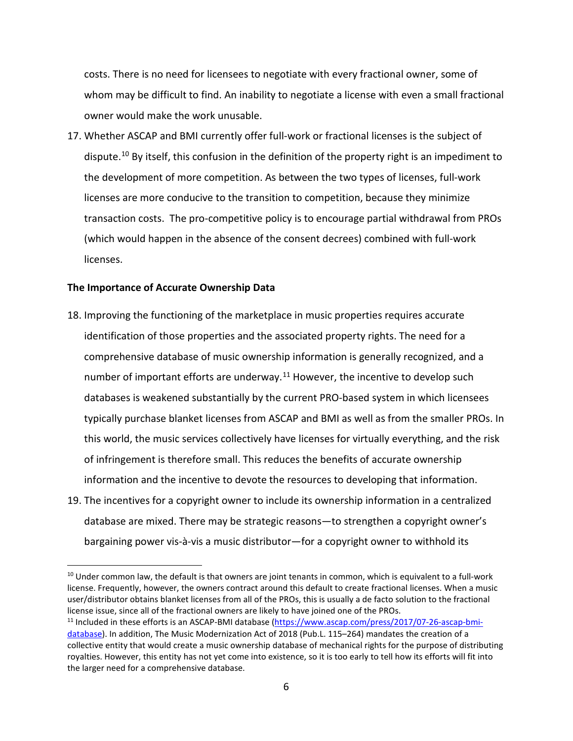costs. There is no need for licensees to negotiate with every fractional owner, some of whom may be difficult to find. An inability to negotiate a license with even a small fractional owner would make the work unusable.

17. Whether ASCAP and BMI currently offer full-work or fractional licenses is the subject of dispute.<sup>[10](#page-6-0)</sup> By itself, this confusion in the definition of the property right is an impediment to the development of more competition. As between the two types of licenses, full-work licenses are more conducive to the transition to competition, because they minimize transaction costs. The pro-competitive policy is to encourage partial withdrawal from PROs (which would happen in the absence of the consent decrees) combined with full-work licenses.

# **The Importance of Accurate Ownership Data**

- 18. Improving the functioning of the marketplace in music properties requires accurate identification of those properties and the associated property rights. The need for a comprehensive database of music ownership information is generally recognized, and a number of important efforts are underway.<sup>[11](#page-6-1)</sup> However, the incentive to develop such databases is weakened substantially by the current PRO-based system in which licensees typically purchase blanket licenses from ASCAP and BMI as well as from the smaller PROs. In this world, the music services collectively have licenses for virtually everything, and the risk of infringement is therefore small. This reduces the benefits of accurate ownership information and the incentive to devote the resources to developing that information.
- 19. The incentives for a copyright owner to include its ownership information in a centralized database are mixed. There may be strategic reasons—to strengthen a copyright owner's bargaining power vis-à-vis a music distributor—for a copyright owner to withhold its

<span id="page-6-0"></span><sup>&</sup>lt;sup>10</sup> Under common law, the default is that owners are joint tenants in common, which is equivalent to a full-work license. Frequently, however, the owners contract around this default to create fractional licenses. When a music user/distributor obtains blanket licenses from all of the PROs, this is usually a de facto solution to the fractional license issue, since all of the fractional owners are likely to have joined one of the PROs.

<span id="page-6-1"></span><sup>&</sup>lt;sup>11</sup> Included in these efforts is an ASCAP-BMI database [\(https://www.ascap.com/press/2017/07-26-ascap-bmi](https://www.ascap.com/press/2017/07-26-ascap-bmi-database)[database\)](https://www.ascap.com/press/2017/07-26-ascap-bmi-database). In addition, The Music Modernization Act of 2018 (Pub.L. 115–264) mandates the creation of a collective entity that would create a music ownership database of mechanical rights for the purpose of distributing royalties. However, this entity has not yet come into existence, so it is too early to tell how its efforts will fit into the larger need for a comprehensive database.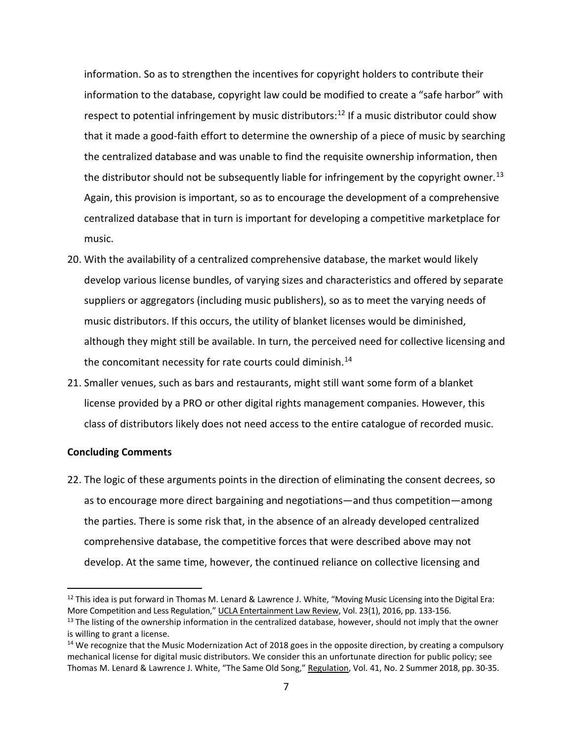information. So as to strengthen the incentives for copyright holders to contribute their information to the database, copyright law could be modified to create a "safe harbor" with respect to potential infringement by music distributors:<sup>[12](#page-7-0)</sup> If a music distributor could show that it made a good-faith effort to determine the ownership of a piece of music by searching the centralized database and was unable to find the requisite ownership information, then the distributor should not be subsequently liable for infringement by the copyright owner.<sup>[13](#page-7-1)</sup> Again, this provision is important, so as to encourage the development of a comprehensive centralized database that in turn is important for developing a competitive marketplace for music.

- 20. With the availability of a centralized comprehensive database, the market would likely develop various license bundles, of varying sizes and characteristics and offered by separate suppliers or aggregators (including music publishers), so as to meet the varying needs of music distributors. If this occurs, the utility of blanket licenses would be diminished, although they might still be available. In turn, the perceived need for collective licensing and the concomitant necessity for rate courts could diminish.<sup>[14](#page-7-2)</sup>
- 21. Smaller venues, such as bars and restaurants, might still want some form of a blanket license provided by a PRO or other digital rights management companies. However, this class of distributors likely does not need access to the entire catalogue of recorded music.

#### **Concluding Comments**

 $\overline{a}$ 

22. The logic of these arguments points in the direction of eliminating the consent decrees, so as to encourage more direct bargaining and negotiations—and thus competition—among the parties. There is some risk that, in the absence of an already developed centralized comprehensive database, the competitive forces that were described above may not develop. At the same time, however, the continued reliance on collective licensing and

<span id="page-7-0"></span> $12$  This idea is put forward in Thomas M. Lenard & Lawrence J. White, "Moving Music Licensing into the Digital Era: More Competition and Less Regulation," UCLA Entertainment Law Review, Vol. 23(1), 2016, pp. 133-156.

<span id="page-7-1"></span><sup>&</sup>lt;sup>13</sup> The listing of the ownership information in the centralized database, however, should not imply that the owner is willing to grant a license.

<span id="page-7-2"></span><sup>&</sup>lt;sup>14</sup> We recognize that the Music Modernization Act of 2018 goes in the opposite direction, by creating a compulsory mechanical license for digital music distributors. We consider this an unfortunate direction for public policy; see Thomas M. Lenard & Lawrence J. White, "The Same Old Song," Regulation, Vol. 41, No. 2 Summer 2018, pp. 30-35.